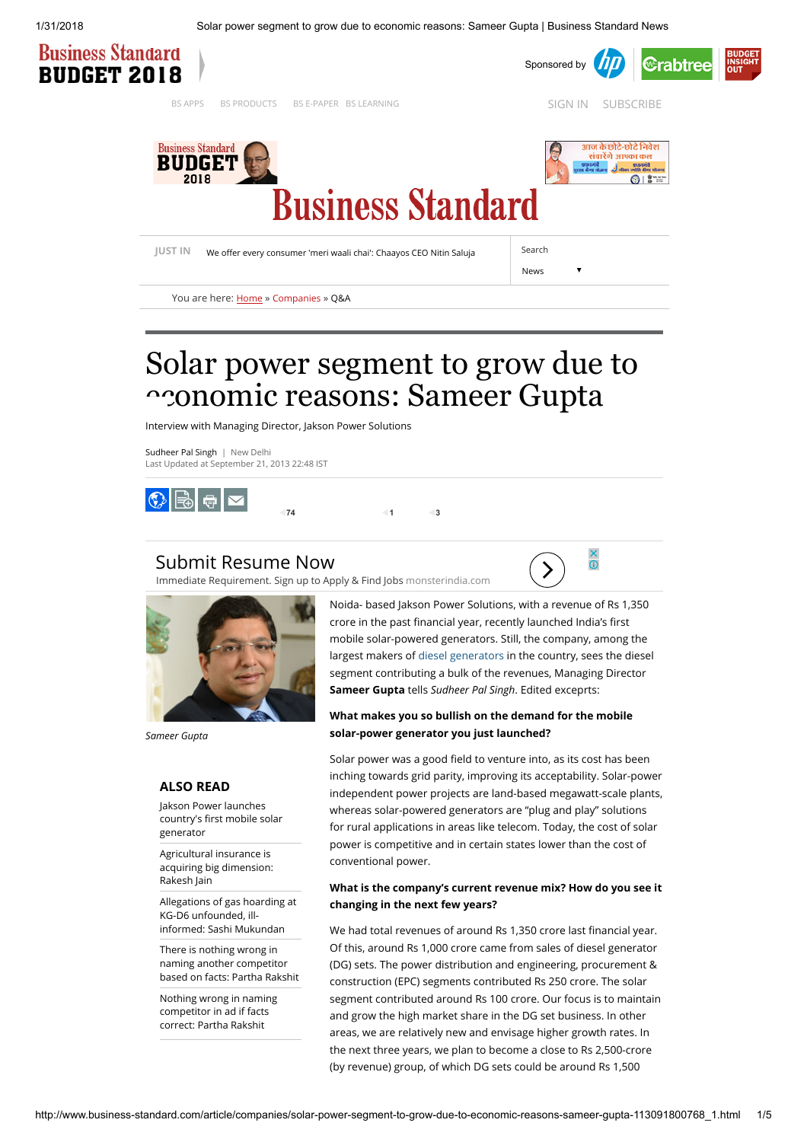1/31/2018 Solar power segment to grow due to economic reasons: Sameer Gupta | Business Standard News



# Solar power segment to grow due to nomic reasons: Sameer Gupta

Interview with Managing Director, Jakson Power Solutions

[Sudheer Pal Singh](http://www.business-standard.com/author/search/keyword/sudheer-pal-singh) | New Delhi Last Updated at September 21, 2013 22:48 IST



## [Submit Resume Now](https://www.googleadservices.com/pagead/aclk?sa=L&ai=C5wQ-andxWoX-MtH_iQP-2LiIDsSFi5pQ6aLEs4oD2tkeEAEgz8K8JGDlmumD4A6gAae5mv0DyAEBqQIRiCzbTOFQPuACAKgDAcgDmwSqBKMCT9C9d7DYgFeFHxkW6F97LBxbc7wLAdKpScbmdL9GAEp1e6lKh0h8BowTpmUFsfTL5veMQaJZkbSHX1CAywqhpLBt8AtG5qs1SLgLz9BCq6Gd2cB_G4ChiCKFlk3_vLdWG_UW3GB3o2XVFg-2abbteYZtSPEIcMJlxKCP4ShxNhn1tKR6fsrdiDUTtFI-5PYQfNpk0CTKqAiJqWHnW2Pr4nJ7NIOKHkKi0aa8xLUgWbFh1Xkhohr6VoBOmhvoqArHyVwQgoAn43MXc57QpmpWXUSKfSiCh2UIKaFJYRAQGIy7PtgfGT0Y4ug9j0V6AzYzWYH9CHbFxldvXxP_DRETuyU9UxsSSWtn2hjb9dZZDJxafWWLjrB5rCCngW7h7VIJYjfb4AQBgAfBxuUCqAemvhvYBwHSCAcIgAEQARgBsQnYDibAgKx7pIAKA9gTDA&num=1&cid=CAASEuRoHcogLz7cBYoDr8U98Piobg&sig=AOD64_1RC-KuXONutrz6a2YlwvUAmu3Eww&client=ca-pub-8819374066907911&adurl=http://my.monsterindia.com/create_account.html%3Fspl%3DG_GDN_Main_Account_Employment_In_Market_Web_d%26WT.mc_n%3Dolm_sk_srch_Google_Paid)

[Immediate Requirement. Sign up to Apply & Find Jobs](https://www.googleadservices.com/pagead/aclk?sa=L&ai=C5wQ-andxWoX-MtH_iQP-2LiIDsSFi5pQ6aLEs4oD2tkeEAEgz8K8JGDlmumD4A6gAae5mv0DyAEBqQIRiCzbTOFQPuACAKgDAcgDmwSqBKMCT9C9d7DYgFeFHxkW6F97LBxbc7wLAdKpScbmdL9GAEp1e6lKh0h8BowTpmUFsfTL5veMQaJZkbSHX1CAywqhpLBt8AtG5qs1SLgLz9BCq6Gd2cB_G4ChiCKFlk3_vLdWG_UW3GB3o2XVFg-2abbteYZtSPEIcMJlxKCP4ShxNhn1tKR6fsrdiDUTtFI-5PYQfNpk0CTKqAiJqWHnW2Pr4nJ7NIOKHkKi0aa8xLUgWbFh1Xkhohr6VoBOmhvoqArHyVwQgoAn43MXc57QpmpWXUSKfSiCh2UIKaFJYRAQGIy7PtgfGT0Y4ug9j0V6AzYzWYH9CHbFxldvXxP_DRETuyU9UxsSSWtn2hjb9dZZDJxafWWLjrB5rCCngW7h7VIJYjfb4AQBgAfBxuUCqAemvhvYBwHSCAcIgAEQARgBsQnYDibAgKx7pIAKA9gTDA&num=1&cid=CAASEuRoHcogLz7cBYoDr8U98Piobg&sig=AOD64_1RC-KuXONutrz6a2YlwvUAmu3Eww&client=ca-pub-8819374066907911&adurl=http://my.monsterindia.com/create_account.html%3Fspl%3DG_GDN_Main_Account_Employment_In_Market_Web_d%26WT.mc_n%3Dolm_sk_srch_Google_Paid) [monsterindia.com](https://www.googleadservices.com/pagead/aclk?sa=L&ai=C5wQ-andxWoX-MtH_iQP-2LiIDsSFi5pQ6aLEs4oD2tkeEAEgz8K8JGDlmumD4A6gAae5mv0DyAEBqQIRiCzbTOFQPuACAKgDAcgDmwSqBKMCT9C9d7DYgFeFHxkW6F97LBxbc7wLAdKpScbmdL9GAEp1e6lKh0h8BowTpmUFsfTL5veMQaJZkbSHX1CAywqhpLBt8AtG5qs1SLgLz9BCq6Gd2cB_G4ChiCKFlk3_vLdWG_UW3GB3o2XVFg-2abbteYZtSPEIcMJlxKCP4ShxNhn1tKR6fsrdiDUTtFI-5PYQfNpk0CTKqAiJqWHnW2Pr4nJ7NIOKHkKi0aa8xLUgWbFh1Xkhohr6VoBOmhvoqArHyVwQgoAn43MXc57QpmpWXUSKfSiCh2UIKaFJYRAQGIy7PtgfGT0Y4ug9j0V6AzYzWYH9CHbFxldvXxP_DRETuyU9UxsSSWtn2hjb9dZZDJxafWWLjrB5rCCngW7h7VIJYjfb4AQBgAfBxuUCqAemvhvYBwHSCAcIgAEQARgBsQnYDibAgKx7pIAKA9gTDA&num=1&cid=CAASEuRoHcogLz7cBYoDr8U98Piobg&sig=AOD64_1RC-KuXONutrz6a2YlwvUAmu3Eww&client=ca-pub-8819374066907911&adurl=http://my.monsterindia.com/create_account.html%3Fspl%3DG_GDN_Main_Account_Employment_In_Market_Web_d%26WT.mc_n%3Dolm_sk_srch_Google_Paid)





Sameer Gupta

### ALSO READ

Jakson Power launches country's first mobile solar generator

Agricultural insurance is [acquiring big dimension:](http://www.business-standard.com/article/companies/agricultural-insurance-is-acquiring-big-dimension-rakesh-jain-113091800150_1.html) Rakesh Jain

[Allegations of gas hoarding at](http://www.business-standard.com/article/companies/allegations-of-gas-hoarding-at-kg-d6-unfounded-ill-informed-sashi-mukundan-113091700868_1.html) KG-D6 unfounded, illinformed: Sashi Mukundan

There is nothing wrong in naming another competitor [based on facts: Partha Rakshit](http://www.business-standard.com/article/management/there-is-nothing-wrong-in-naming-another-competitor-based-on-facts-partha-rakshit-113091700926_1.html)

[Nothing wrong in naming](http://www.business-standard.com/article/companies/nothing-wrong-in-naming-competitor-in-ad-if-facts-correct-partha-rakshit-113091700182_1.html) competitor in ad if facts correct: Partha Rakshit

Noida- based Jakson Power Solutions, with a revenue of Rs 1,350 crore in the past financial year, recently launched India's first mobile solar-powered generators. Still, the company, among the largest makers of [diesel generators i](http://www.business-standard.com/search?type=news&q=diesel+generators)n the country, sees the diesel segment contributing a bulk of the revenues, Managing Director Sameer Gupta tells Sudheer Pal Singh. Edited exceprts:

## What makes you so bullish on the demand for the mobile solar-power generator you just launched?

Solar power was a good field to venture into, as its cost has been inching towards grid parity, improving its acceptability. Solar-power independent power projects are land-based megawatt-scale plants, whereas solar-powered generators are "plug and play" solutions for rural applications in areas like telecom. Today, the cost of solar power is competitive and in certain states lower than the cost of conventional power.

## What is the company's current revenue mix? How do you see it changing in the next few years?

We had total revenues of around Rs 1,350 crore last financial year. Of this, around Rs 1,000 crore came from sales of diesel generator (DG) sets. The power distribution and engineering, procurement & construction (EPC) segments contributed Rs 250 crore. The solar segment contributed around Rs 100 crore. Our focus is to maintain and grow the high market share in the DG set business. In other areas, we are relatively new and envisage higher growth rates. In the next three years, we plan to become a close to Rs 2,500-crore (by revenue) group, of which DG sets could be around Rs 1,500